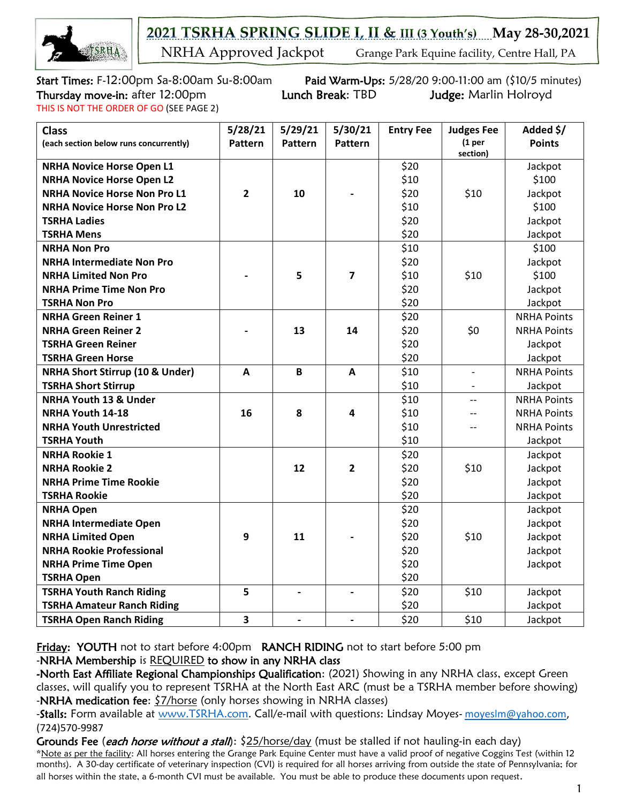

2021 TSRHA SPRING SLIDE I, II & III (3 Youth's) May 28-30,2021

**NRHA Approved Jackpot** Grange Park Equine facility, Centre Hall, PA

THIS IS NOT THE ORDER OF GO (SEE PAGE 2)

Start Times: F-12:00pm Sa-8:00am Su-8:00am Paid Warm-Ups: 5/28/20 9:00-11:00 am (\$10/5 minutes) Thursday move-in: after 12:00pm Lunch Break: TBD Judge: Marlin Holroyd

| <b>Class</b>                               | 5/28/21        | 5/29/21                  | 5/30/21                      | <b>Entry Fee</b> | <b>Judges Fee</b>               | Added \$/          |
|--------------------------------------------|----------------|--------------------------|------------------------------|------------------|---------------------------------|--------------------|
| (each section below runs concurrently)     | <b>Pattern</b> | <b>Pattern</b>           | <b>Pattern</b>               |                  | (1 <sub>per</sub> )<br>section) | <b>Points</b>      |
| <b>NRHA Novice Horse Open L1</b>           |                |                          |                              | \$20             |                                 | Jackpot            |
| <b>NRHA Novice Horse Open L2</b>           |                |                          |                              | \$10             |                                 | \$100              |
| <b>NRHA Novice Horse Non Pro L1</b>        | $\overline{2}$ | 10                       |                              | \$20             | \$10                            | Jackpot            |
| <b>NRHA Novice Horse Non Pro L2</b>        |                |                          |                              | \$10             |                                 | \$100              |
| <b>TSRHA Ladies</b>                        |                |                          |                              | \$20             |                                 | Jackpot            |
| <b>TSRHA Mens</b>                          |                |                          |                              | \$20             |                                 | Jackpot            |
| <b>NRHA Non Pro</b>                        |                |                          |                              | \$10             |                                 | \$100              |
| <b>NRHA Intermediate Non Pro</b>           |                |                          |                              | \$20             |                                 | Jackpot            |
| <b>NRHA Limited Non Pro</b>                |                | 5                        | 7                            | \$10             | \$10                            | \$100              |
| <b>NRHA Prime Time Non Pro</b>             |                |                          |                              | \$20             |                                 | Jackpot            |
| <b>TSRHA Non Pro</b>                       |                |                          |                              | \$20             |                                 | Jackpot            |
| <b>NRHA Green Reiner 1</b>                 |                |                          |                              | \$20             |                                 | <b>NRHA Points</b> |
| <b>NRHA Green Reiner 2</b>                 |                | 13                       | 14                           | \$20             | \$0                             | <b>NRHA Points</b> |
| <b>TSRHA Green Reiner</b>                  |                |                          |                              | \$20             |                                 | Jackpot            |
| <b>TSRHA Green Horse</b>                   |                |                          |                              | \$20             |                                 | Jackpot            |
| <b>NRHA Short Stirrup (10 &amp; Under)</b> | A              | B                        | A                            | \$10             | $\overline{\phantom{a}}$        | <b>NRHA Points</b> |
| <b>TSRHA Short Stirrup</b>                 |                |                          |                              | \$10             |                                 | Jackpot            |
| <b>NRHA Youth 13 &amp; Under</b>           |                |                          |                              | \$10             | $\overline{a}$                  | <b>NRHA Points</b> |
| NRHA Youth 14-18                           | 16             | 8                        | 4                            | \$10             | $\overline{\phantom{a}}$        | <b>NRHA Points</b> |
| <b>NRHA Youth Unrestricted</b>             |                |                          |                              | \$10             | $\overline{a}$                  | <b>NRHA Points</b> |
| <b>TSRHA Youth</b>                         |                |                          |                              | \$10             |                                 | Jackpot            |
| <b>NRHA Rookie 1</b>                       |                |                          |                              | \$20             |                                 | Jackpot            |
| <b>NRHA Rookie 2</b>                       |                | 12                       | $\overline{2}$               | \$20             | \$10                            | Jackpot            |
| <b>NRHA Prime Time Rookie</b>              |                |                          |                              | \$20             |                                 | Jackpot            |
| <b>TSRHA Rookie</b>                        |                |                          |                              | \$20             |                                 | Jackpot            |
| <b>NRHA Open</b>                           |                |                          |                              | \$20             |                                 | Jackpot            |
| <b>NRHA Intermediate Open</b>              |                |                          |                              | \$20             |                                 | Jackpot            |
| <b>NRHA Limited Open</b>                   | 9              | 11                       |                              | \$20             | \$10                            | Jackpot            |
| <b>NRHA Rookie Professional</b>            |                |                          |                              | \$20             |                                 | Jackpot            |
| <b>NRHA Prime Time Open</b>                |                |                          |                              | \$20             |                                 | Jackpot            |
| <b>TSRHA Open</b>                          |                |                          |                              | \$20             |                                 |                    |
| <b>TSRHA Youth Ranch Riding</b>            | 5              | $\overline{\phantom{a}}$ | $\qquad \qquad \blacksquare$ | \$20             | \$10                            | Jackpot            |
| <b>TSRHA Amateur Ranch Riding</b>          |                |                          |                              | \$20             |                                 | Jackpot            |
| <b>TSRHA Open Ranch Riding</b>             | 3              | $\overline{\phantom{a}}$ | $\qquad \qquad \blacksquare$ | \$20             | \$10                            | Jackpot            |

Friday: YOUTH not to start before 4:00pm RANCH RIDING not to start before 5:00 pm -NRHA Membership is REQUIRED to show in any NRHA class

-North East Affiliate Regional Championships Qualification: (2021) Showing in any NRHA class, except Green classes, will qualify you to represent TSRHA at the North East ARC (must be a TSRHA member before showing) -NRHA medication fee: \$7/horse (only horses showing in NRHA classes)

-Stalls: Form available at [www.TSRHA.com.](http://www.tsrha.com/) Call/e-mail with questions: Lindsay Moyes- moyesIm@yahoo.com, (724)570-9987

Grounds Fee (*each horse without a stall*): \$25/horse/day (must be stalled if not hauling-in each day) \*Note as per the facility: All horses entering the Grange Park Equine Center must have a valid proof of negative Coggins Test (within 12 months). A 30-day certificate of veterinary inspection (CVI) is required for all horses arriving from outside the state of Pennsylvania; for all horses within the state, a 6-month CVI must be available. You must be able to produce these documents upon request.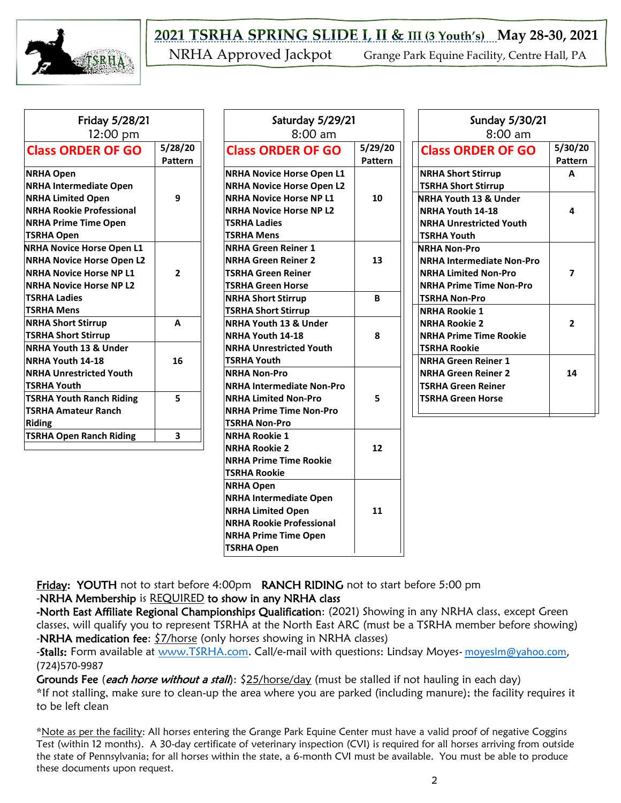

| Friday 5/28/21<br>12:00 pm                                                                                                                                                    |                          |
|-------------------------------------------------------------------------------------------------------------------------------------------------------------------------------|--------------------------|
| <b>Class ORDER OF GO</b>                                                                                                                                                      | 5/28/20<br>Pattern       |
| <b>NRHA Open</b><br><b>NRHA Intermediate Open</b><br><b>NRHA Limited Open</b><br><b>NRHA Rookie Professional</b><br><b>NRHA Prime Time Open</b><br>TSRHA Open                 | 9                        |
| NRHA Novice Horse Open L1<br><b>NRHA Novice Horse Open L2</b><br><b>NRHA Novice Horse NP L1</b><br><b>NRHA Novice Horse NP L2</b><br><b>TSRHA Ladies</b><br><b>TSRHA Mens</b> | $\overline{\phantom{a}}$ |
| <b>NRHA Short Stirrup</b><br><b>TSRHA Short Stirrup</b>                                                                                                                       | A                        |
| <b>NRHA Youth 13 &amp; Under</b><br><b>NRHA Youth 14-18</b><br><b>NRHA Unrestricted Youth</b><br><b>TSRHA Youth</b>                                                           | 16                       |
| <b>TSRHA Youth Ranch Riding</b><br><b>TSRHA Amateur Ranch</b><br><b>Riding</b>                                                                                                | 5                        |
| <b>TSRHA Open Ranch Riding</b>                                                                                                                                                | 3                        |

| Saturday 5/29/21<br>$8:00 \text{ am}$                                                                                                                                                |                    |                                                                                     |
|--------------------------------------------------------------------------------------------------------------------------------------------------------------------------------------|--------------------|-------------------------------------------------------------------------------------|
| <b>Class ORDER OF GO</b>                                                                                                                                                             | 5/29/20<br>Pattern | Cla:                                                                                |
| <b>NRHA Novice Horse Open L1</b><br><b>NRHA Novice Horse Open L2</b><br><b>NRHA Novice Horse NP L1</b><br><b>NRHA Novice Horse NP L2</b><br><b>TSRHA Ladies</b><br><b>TSRHA Mens</b> | 10                 | <b>NRH</b><br><b>TSRH</b><br><b>NRHA</b><br><b>NRH</b><br><b>NRH</b><br><b>TSRH</b> |
| <b>NRHA Green Reiner 1</b><br><b>NRHA Green Reiner 2</b><br><b>TSRHA Green Reiner</b><br><b>TSRHA Green Horse</b>                                                                    | 13                 | <b>NRHA</b><br><b>NRH</b><br><b>NRH</b><br><b>NRH</b>                               |
| <b>NRHA Short Stirrup</b>                                                                                                                                                            | в                  | <b>TSRH</b>                                                                         |
| <b>TSRHA Short Stirrup</b><br>NRHA Youth 13 & Under<br>NRHA Youth 14-18<br><b>NRHA Unrestricted Youth</b><br><b>TSRHA Youth</b>                                                      | 8                  | <b>NRH</b><br><b>NRH</b><br><b>NRH</b><br><b>TSRH</b><br><b>NRH</b>                 |
| <b>NRHA Non-Pro</b><br><b>NRHA Intermediate Non-Pro</b><br><b>NRHA Limited Non-Pro</b><br><b>NRHA Prime Time Non-Pro</b><br><b>TSRHA Non-Pro</b>                                     | 5                  | <b>NRH</b><br><b>TSRH</b><br><b>TSRH</b>                                            |
| <b>NRHA Rookie 1</b><br><b>NRHA Rookie 2</b><br><b>NRHA Prime Time Rookie</b><br><b>TSRHA Rookie</b>                                                                                 | 12                 |                                                                                     |
| <b>NRHA Open</b><br><b>NRHA Intermediate Open</b><br><b>NRHA Limited Open</b><br><b>NRHA Rookie Professional</b><br><b>NRHA Prime Time Open</b><br><b>TSRHA Open</b>                 | 11                 |                                                                                     |

| Sunday 5/30/21                   |         |  |  |
|----------------------------------|---------|--|--|
| $8:00$ am                        |         |  |  |
| <b>Class ORDER OF GO</b>         | 5/30/20 |  |  |
|                                  | Pattern |  |  |
| <b>NRHA Short Stirrup</b>        | Δ       |  |  |
| <b>TSRHA Short Stirrup</b>       |         |  |  |
| NRHA Youth 13 & Under            |         |  |  |
| <b>NRHA Youth 14-18</b>          | Δ       |  |  |
| <b>NRHA Unrestricted Youth</b>   |         |  |  |
| <b>TSRHA Youth</b>               |         |  |  |
| NRHA Non-Pro                     |         |  |  |
| <b>NRHA Intermediate Non-Pro</b> |         |  |  |
| <b>NRHA Limited Non-Pro</b>      | 7       |  |  |
| <b>NRHA Prime Time Non-Pro</b>   |         |  |  |
| <b>TSRHA Non-Pro</b>             |         |  |  |
| <b>NRHA Rookie 1</b>             |         |  |  |
| <b>NRHA Rookie 2</b>             | 2       |  |  |
| <b>NRHA Prime Time Rookie</b>    |         |  |  |
| <b>TSRHA Rookie</b>              |         |  |  |
| <b>NRHA Green Reiner 1</b>       |         |  |  |
| <b>NRHA Green Reiner 2</b>       | 14      |  |  |
| <b>TSRHA Green Reiner</b>        |         |  |  |
| <b>TSRHA Green Horse</b>         |         |  |  |
|                                  |         |  |  |

Friday: YOUTH not to start before 4:00pm RANCH RIDING not to start before 5:00 pm -NRHA Membership is REQUIRED to show in any NRHA class

-North East Affiliate Regional Championships Qualification: (2021) Showing in any NRHA class, except Green classes, will qualify you to represent TSRHA at the North East ARC (must be a TSRHA member before showing) -NRHA medication fee:  $\frac{57}{horse}$  (only horses showing in NRHA classes)

-Stalls: Form available at [www.TSRHA.com.](http://www.tsrha.com/) Call/e-mail with questions: Lindsay Moyes- [moyeslm@yahoo.com,](mailto:moyeslm@yahoo.com) (724)570-9987

Grounds Fee (each horse without a stall): \$25/horse/day (must be stalled if not hauling in each day) \*If not stalling, make sure to clean-up the area where you are parked (including manure); the facility requires it to be left clean

\*Note as per the facility: All horses entering the Grange Park Equine Center must have a valid proof of negative Coggins Test (within 12 months). A 30-day certificate of veterinary inspection (CVI) is required for all horses arriving from outside the state of Pennsylvania; for all horses within the state, a 6-month CVI must be available. You must be able to produce these documents upon request.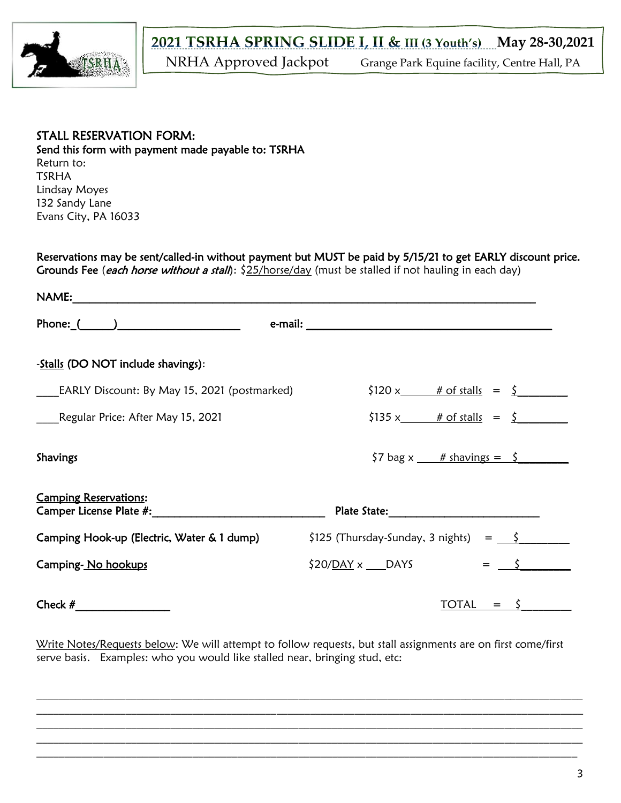

## STALL RESERVATION FORM: Send this form with payment made payable to: TSRHA Return to: TSRHA Lindsay Moyes 132 Sandy Lane Evans City, PA 16033

Reservations may be sent/called-in without payment but MUST be paid by 5/15/21 to get EARLY discount price. Grounds Fee (each horse without a stall): \$25/horse/day (must be stalled if not hauling in each day)

| NAME:                                                                                                                                                                                                                                                               |                                                                                     |
|---------------------------------------------------------------------------------------------------------------------------------------------------------------------------------------------------------------------------------------------------------------------|-------------------------------------------------------------------------------------|
| Phone: $($ $)$                                                                                                                                                                                                                                                      |                                                                                     |
| -Stalls (DO NOT include shavings):                                                                                                                                                                                                                                  |                                                                                     |
| EARLY Discount: By May 15, 2021 (postmarked)                                                                                                                                                                                                                        | $$120 x$ # of stalls = $$$                                                          |
| Regular Price: After May 15, 2021                                                                                                                                                                                                                                   | $$135 x$ # of stalls = $$$                                                          |
| Shavings                                                                                                                                                                                                                                                            | $\frac{1}{2}$ bag x $\frac{\# \text{ shavings}}{\# \text{ shavings}} = \frac{1}{2}$ |
| <b>Camping Reservations:</b><br><b>Camper License Plate #:</b> Note that the set of the set of the set of the set of the set of the set of the set of the set of the set of the set of the set of the set of the set of the set of the set of the set of the set of |                                                                                     |
| Camping Hook-up (Electric, Water & 1 dump)                                                                                                                                                                                                                          | $$125$ (Thursday-Sunday, 3 nights) = $$\zeta$                                       |
| Camping-No hookups                                                                                                                                                                                                                                                  | $$20/DAY \times$ DAYS<br>$=$                                                        |
| Check $#$                                                                                                                                                                                                                                                           | TOTAL<br>$=$                                                                        |

Write Notes/Requests below: We will attempt to follow requests, but stall assignments are on first come/first serve basis. Examples: who you would like stalled near, bringing stud, etc:

 $\mathcal{L}_\mathcal{L} = \mathcal{L}_\mathcal{L} = \mathcal{L}_\mathcal{L} = \mathcal{L}_\mathcal{L} = \mathcal{L}_\mathcal{L} = \mathcal{L}_\mathcal{L} = \mathcal{L}_\mathcal{L} = \mathcal{L}_\mathcal{L} = \mathcal{L}_\mathcal{L} = \mathcal{L}_\mathcal{L} = \mathcal{L}_\mathcal{L} = \mathcal{L}_\mathcal{L} = \mathcal{L}_\mathcal{L} = \mathcal{L}_\mathcal{L} = \mathcal{L}_\mathcal{L} = \mathcal{L}_\mathcal{L} = \mathcal{L}_\mathcal{L}$  $\mathcal{L}_\mathcal{L} = \mathcal{L}_\mathcal{L} = \mathcal{L}_\mathcal{L} = \mathcal{L}_\mathcal{L} = \mathcal{L}_\mathcal{L} = \mathcal{L}_\mathcal{L} = \mathcal{L}_\mathcal{L} = \mathcal{L}_\mathcal{L} = \mathcal{L}_\mathcal{L} = \mathcal{L}_\mathcal{L} = \mathcal{L}_\mathcal{L} = \mathcal{L}_\mathcal{L} = \mathcal{L}_\mathcal{L} = \mathcal{L}_\mathcal{L} = \mathcal{L}_\mathcal{L} = \mathcal{L}_\mathcal{L} = \mathcal{L}_\mathcal{L}$  $\mathcal{L}_\mathcal{L} = \mathcal{L}_\mathcal{L} = \mathcal{L}_\mathcal{L} = \mathcal{L}_\mathcal{L} = \mathcal{L}_\mathcal{L} = \mathcal{L}_\mathcal{L} = \mathcal{L}_\mathcal{L} = \mathcal{L}_\mathcal{L} = \mathcal{L}_\mathcal{L} = \mathcal{L}_\mathcal{L} = \mathcal{L}_\mathcal{L} = \mathcal{L}_\mathcal{L} = \mathcal{L}_\mathcal{L} = \mathcal{L}_\mathcal{L} = \mathcal{L}_\mathcal{L} = \mathcal{L}_\mathcal{L} = \mathcal{L}_\mathcal{L}$